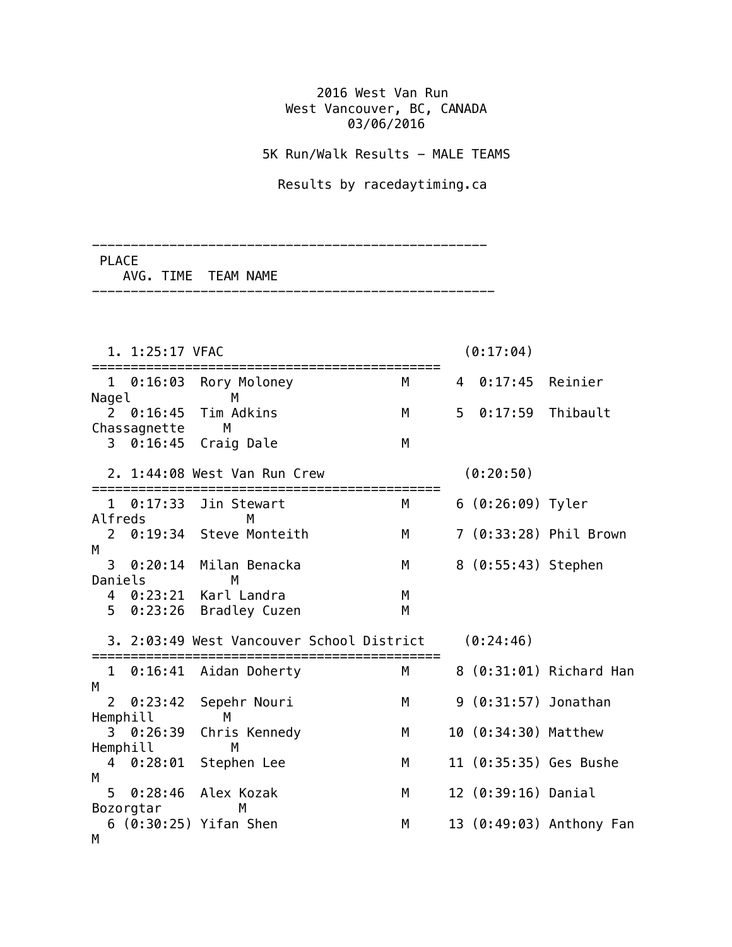## 2016 West Van Run West Vancouver, BC, CANADA 03/06/2016

5K Run/Walk Results - MALE TEAMS

Results by racedaytiming.ca

----------------------------------------------------

---------------------------------------------------

 PLACE AVG. TIME TEAM NAME

|                     | 1. 1:25:17 VFAC          |                                                |        | (0:17:04)      |                        |                          |  |  |
|---------------------|--------------------------|------------------------------------------------|--------|----------------|------------------------|--------------------------|--|--|
| Nagel               | $1 \quad 0:16:03$        | Rory Moloney<br>M                              | M      | 4              | 0:17:45                | Reinier                  |  |  |
|                     | 20:16:45<br>Chassagnette | Tim Adkins<br>M                                | M      | 5 <sup>1</sup> | $0:17:59$ Thibault     |                          |  |  |
| 3                   |                          | $0:16:45$ Craig Dale                           | M      |                |                        |                          |  |  |
|                     |                          | 2. 1:44:08 West Van Run Crew                   |        |                | (0:20:50)              |                          |  |  |
| Alfreds             | $1 \quad 0:17:33$        | Jin Stewart<br>M                               | M      |                | 6 (0:26:09) Tyler      |                          |  |  |
| $\overline{2}$<br>M |                          | 0:19:34 Steve Monteith                         | M      |                |                        | 7 (0:33:28) Phil Brown   |  |  |
| 3<br>Daniels        | 0:20:14                  | Milan Benacka<br>M                             | М      |                | 8 (0:55:43) Stephen    |                          |  |  |
| 5                   |                          | 4 0:23:21 Karl Landra<br>0:23:26 Bradley Cuzen | М<br>M |                |                        |                          |  |  |
|                     |                          | 3. 2:03:49 West Vancouver School District      |        |                | (0:24:46)              |                          |  |  |
| М                   |                          | 1 0:16:41 Aidan Doherty                        | M      |                |                        | 8 (0:31:01) Richard Han  |  |  |
| 2                   | 0:23:42<br>Hemphill      | Sepehr Nouri<br>M                              | M      |                | 9 (0:31:57) Jonathan   |                          |  |  |
| Hemphill<br>4<br>М  | 3 0:26:39                | Chris Kennedy<br>M                             | М      |                | 10 (0:34:30) Matthew   |                          |  |  |
|                     |                          | 0:28:01 Stephen Lee                            | M      |                | 11 (0:35:35) Ges Bushe |                          |  |  |
| 5                   | Bozorgtar                | 0:28:46 Alex Kozak<br>М                        | M      |                | 12 (0:39:16) Danial    |                          |  |  |
| M                   |                          | 6 (0:30:25) Yifan Shen                         | M      |                |                        | 13 (0:49:03) Anthony Fan |  |  |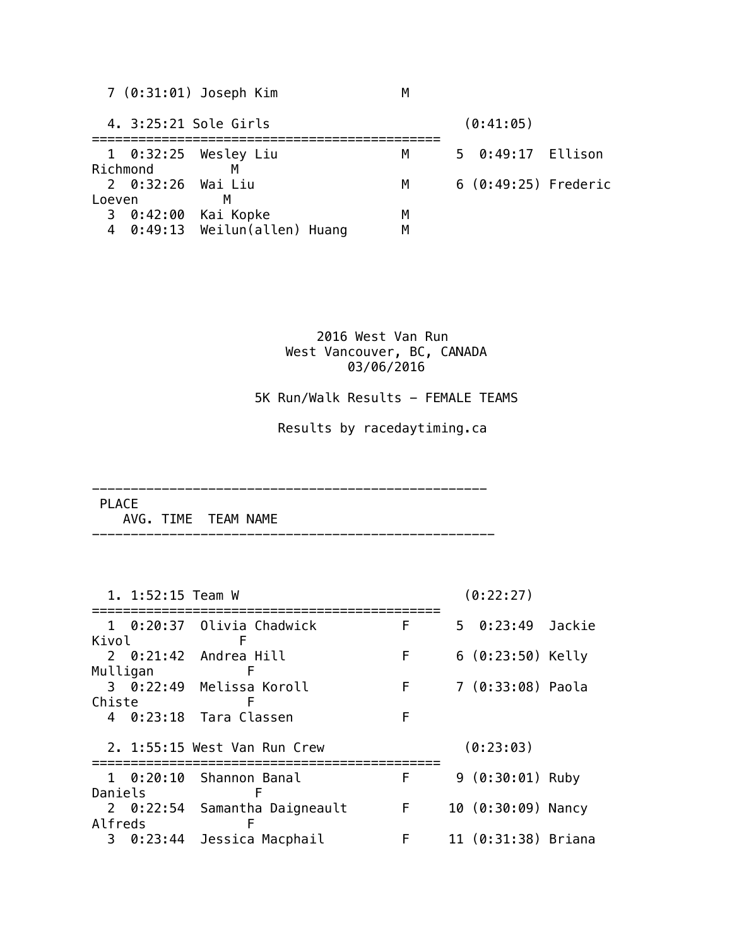| 5 0:49:17 Ellison    |
|----------------------|
|                      |
| 6 (0:49:25) Frederic |
|                      |
|                      |
|                      |
|                      |

## 2016 West Van Run West Vancouver, BC, CANADA 03/06/2016

5K Run/Walk Results - FEMALE TEAMS

Results by racedaytiming.ca

---------------------------------------------------

PLACE

AVG. TIME TEAM NAME

|               | 1. 1:52:15 Team W |                               |                |  | (0:22:27)           |  |
|---------------|-------------------|-------------------------------|----------------|--|---------------------|--|
|               |                   | 1 0:20:37 Olivia Chadwick     | F              |  | 5 0:23:49 Jackie    |  |
| Kivol         |                   |                               |                |  |                     |  |
|               |                   | $2 \quad 0:21:42$ Andrea Hill | F              |  | $6(0:23:50)$ Kelly  |  |
| Mulligan<br>F |                   |                               |                |  |                     |  |
|               |                   | 3 0:22:49 Melissa Koroll      | F.             |  | 7 (0:33:08) Paola   |  |
|               | Chiste            |                               |                |  |                     |  |
|               |                   | 4 0:23:18 Tara Classen        | F              |  |                     |  |
|               |                   | 2. 1:55:15 West Van Run Crew  |                |  | (0:23:03)           |  |
|               |                   | 1 0:20:10 Shannon Banal       | F              |  | $9(0:30:01)$ Ruby   |  |
| Daniels       |                   |                               |                |  |                     |  |
|               |                   | 2 0:22:54 Samantha Daigneault | $\overline{F}$ |  | 10 (0:30:09) Nancy  |  |
| Alfreds       |                   | F                             |                |  |                     |  |
|               |                   | 3 0:23:44 Jessica Macphail    | F              |  | 11 (0:31:38) Briana |  |

----------------------------------------------------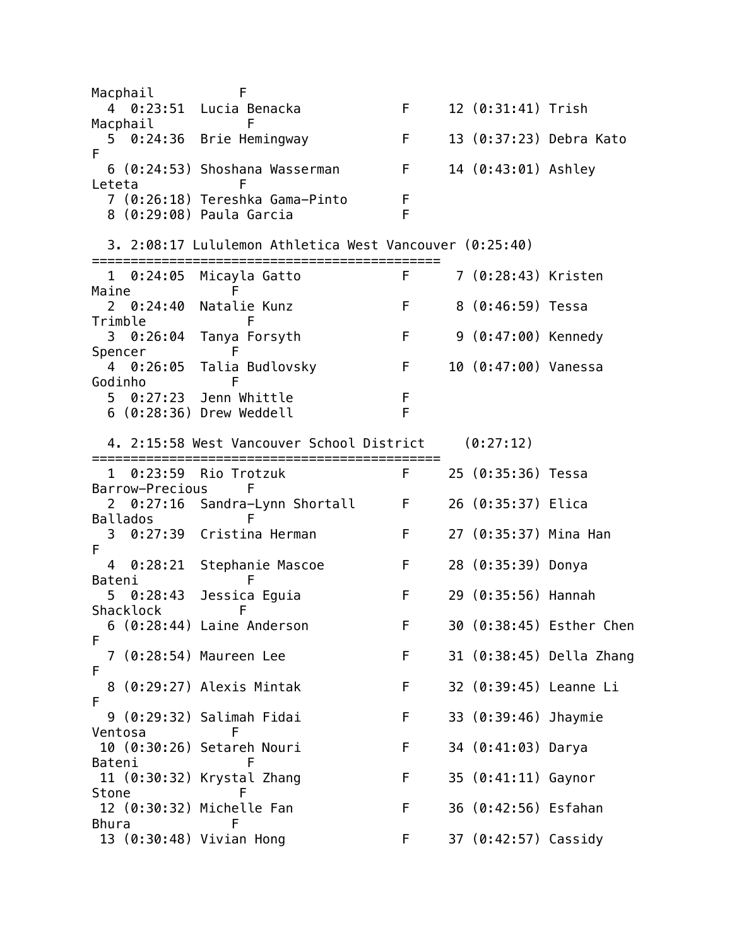Macphail F 4 0:23:51 Lucia Benacka F 12 (0:31:41) Trish Macphail F 5 0:24:36 Brie Hemingway F 13 (0:37:23) Debra Kato F 6 (0:24:53) Shoshana Wasserman F 14 (0:43:01) Ashley Leteta F 7 (0:26:18) Tereshka Gama-Pinto F 8 (0:29:08) Paula Garcia F 3. 2:08:17 Lululemon Athletica West Vancouver (0:25:40) ============================================= 1 0:24:05 Micayla Gatto F 7 (0:28:43) Kristen Maine F 2 0:24:40 Natalie Kunz F 8 (0:46:59) Tessa Trimble F 3 0:26:04 Tanya Forsyth F 9 (0:47:00) Kennedy Spencer F 4 0:26:05 Talia Budlovsky F 10 (0:47:00) Vanessa Godinho F 5 0:27:23 Jenn Whittle F 6 (0:28:36) Drew Weddell F 4. 2:15:58 West Vancouver School District (0:27:12) ============================================= 1 0:23:59 Rio Trotzuk F 25 (0:35:36) Tessa Barrow-Precious F 2 0:27:16 Sandra-Lynn Shortall F 26 (0:35:37) Elica Ballados F 3 0:27:39 Cristina Herman F 27 (0:35:37) Mina Han F 4 0:28:21 Stephanie Mascoe F 28 (0:35:39) Donya Bateni F 5 0:28:43 Jessica Eguia F 29 (0:35:56) Hannah Shacklock F 6 (0:28:44) Laine Anderson F 30 (0:38:45) Esther Chen F 7 (0:28:54) Maureen Lee F 31 (0:38:45) Della Zhang F 8 (0:29:27) Alexis Mintak F 32 (0:39:45) Leanne Li F 9 (0:29:32) Salimah Fidai F 33 (0:39:46) Jhaymie Ventosa F 10 (0:30:26) Setareh Nouri F 34 (0:41:03) Darya Bateni F 11 (0:30:32) Krystal Zhang F 35 (0:41:11) Gaynor Stone F 12 (0:30:32) Michelle Fan F 36 (0:42:56) Esfahan Bhura F 13 (0:30:48) Vivian Hong F 37 (0:42:57) Cassidy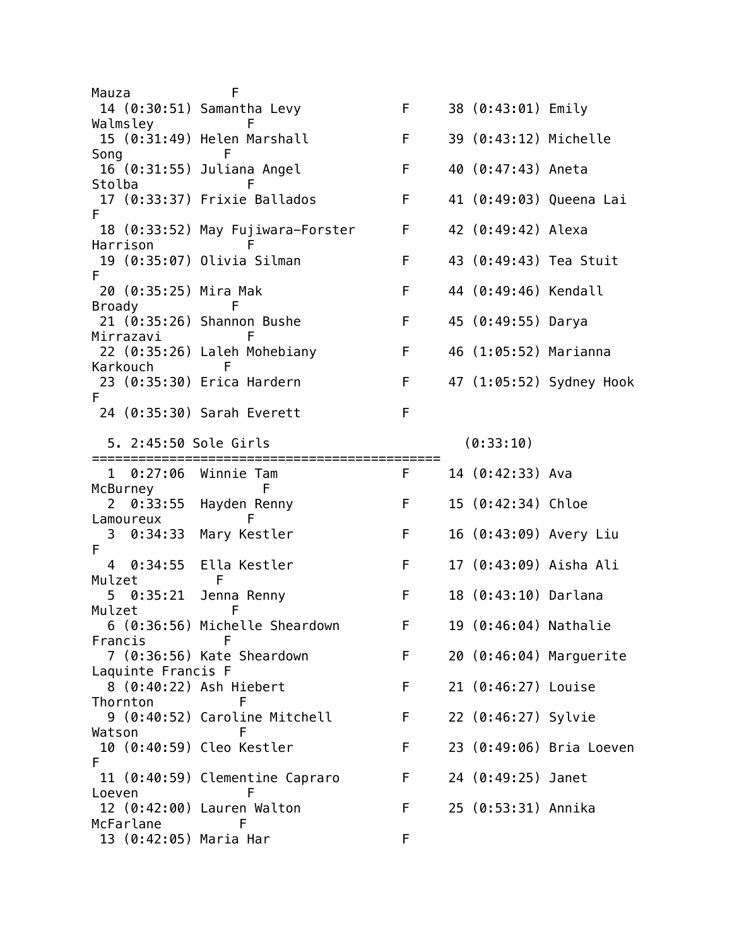Mauza F 14 (0:30:51) Samantha Levy F 38 (0:43:01) Emily Walmsley F 15 (0:31:49) Helen Marshall F 39 (0:43:12) Michelle Song F 16 (0:31:55) Juliana Angel F 40 (0:47:43) Aneta Stolba **F**  17 (0:33:37) Frixie Ballados F 41 (0:49:03) Queena Lai F 18 (0:33:52) May Fujiwara-Forster F 42 (0:49:42) Alexa Harrison F 19 (0:35:07) Olivia Silman F 43 (0:49:43) Tea Stuit F 20 (0:35:25) Mira Mak F 44 (0:49:46) Kendall Broady F 21 (0:35:26) Shannon Bushe F 45 (0:49:55) Darya Mirrazavi F 22 (0:35:26) Laleh Mohebiany F 46 (1:05:52) Marianna Karkouch F 23 (0:35:30) Erica Hardern F 47 (1:05:52) Sydney Hook F 24 (0:35:30) Sarah Everett F 5. 2:45:50 Sole Girls (0:33:10) ============================================= 1 0:27:06 Winnie Tam F 14 (0:42:33) Ava McBurney F 2 0:33:55 Hayden Renny F 15 (0:42:34) Chloe Lamoureux F 3 0:34:33 Mary Kestler F 16 (0:43:09) Avery Liu F 4 0:34:55 Ella Kestler F 17 (0:43:09) Aisha Ali Mulzet F 5 0:35:21 Jenna Renny F 18 (0:43:10) Darlana Mulzet **F**  6 (0:36:56) Michelle Sheardown F 19 (0:46:04) Nathalie Francis F 7 (0:36:56) Kate Sheardown F 20 (0:46:04) Marguerite Laquinte Francis F 8 (0:40:22) Ash Hiebert F 21 (0:46:27) Louise Thornton F 9 (0:40:52) Caroline Mitchell F 22 (0:46:27) Sylvie Watson F 10 (0:40:59) Cleo Kestler F 23 (0:49:06) Bria Loeven F 11 (0:40:59) Clementine Capraro F 24 (0:49:25) Janet Loeven F 12 (0:42:00) Lauren Walton F 25 (0:53:31) Annika McFarlane F 13 (0:42:05) Maria Har F